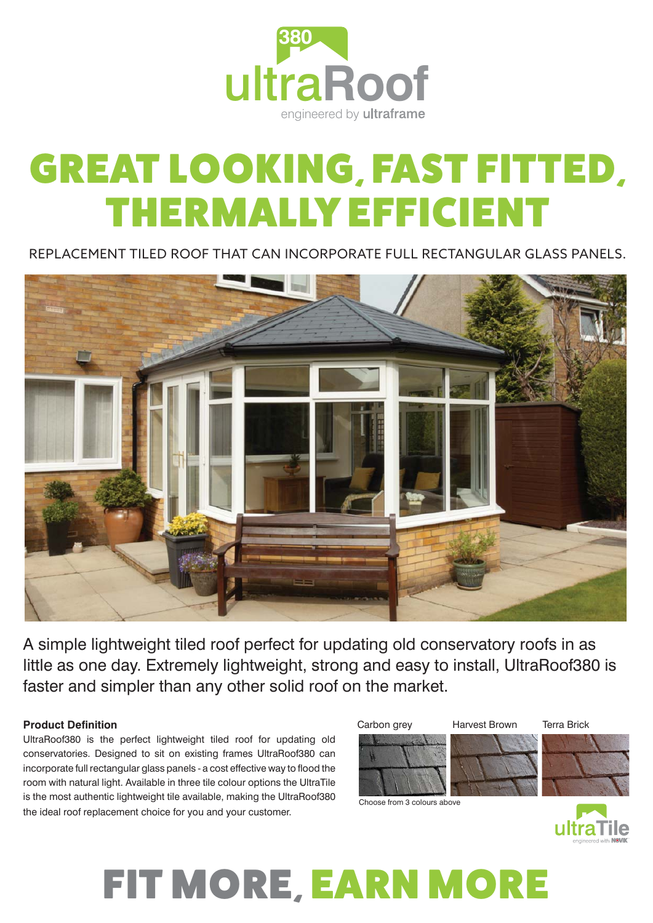

# GREAT LOOKING, FAST FITTED, THERMALLY EFFICIENT

REPLACEMENT TILED ROOF THAT CAN INCORPORATE FULL RECTANGULAR GLASS PANELS.



A simple lightweight tiled roof perfect for updating old conservatory roofs in as little as one day. Extremely lightweight, strong and easy to install, UltraRoof380 is faster and simpler than any other solid roof on the market.

### **Product Definition**

UltraRoof380 is the perfect lightweight tiled roof for updating old conservatories. Designed to sit on existing frames UltraRoof380 can incorporate full rectangular glass panels - a cost effective way to flood the room with natural light. Available in three tile colour options the UltraTile is the most authentic lightweight tile available, making the UltraRoof380 the ideal roof replacement choice for you and your customer.



Choose from 3 colours above



## FIT MORE, EARN MORE